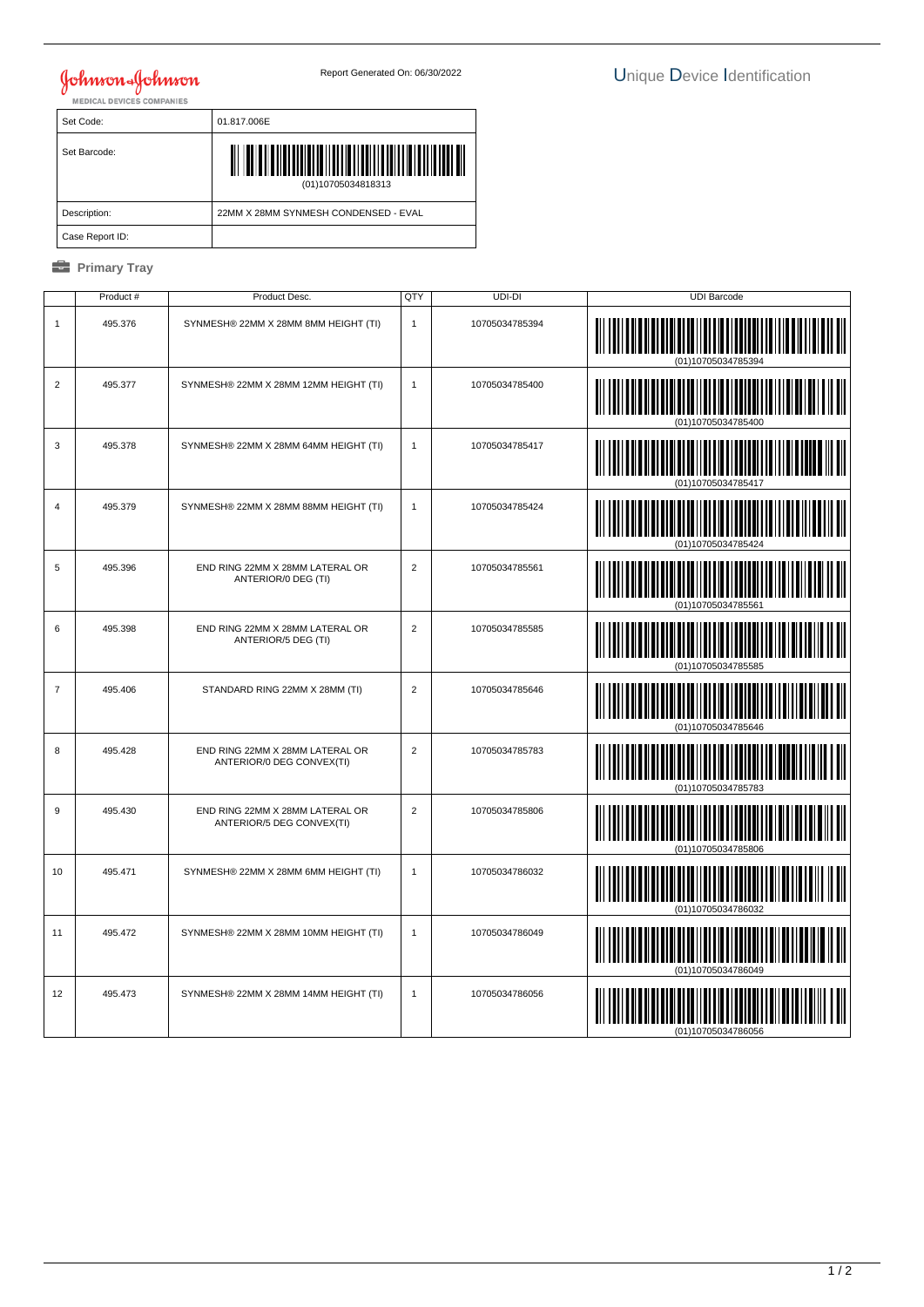## **Johnson & Johnson**

| Set Code:       | 01.817.006E                          |
|-----------------|--------------------------------------|
| Set Barcode:    | ∭<br>(01)10705034818313              |
| Description:    | 22MM X 28MM SYNMESH CONDENSED - EVAL |
| Case Report ID: |                                      |

## *<u><b>* Primary Tray</u>

|                | Product # | Product Desc.                                                | QTY            | $UDI-DI$       | <b>UDI Barcode</b> |
|----------------|-----------|--------------------------------------------------------------|----------------|----------------|--------------------|
| $\mathbf{1}$   | 495.376   | SYNMESH® 22MM X 28MM 8MM HEIGHT (TI)                         | $\mathbf{1}$   | 10705034785394 |                    |
| 2              | 495.377   | SYNMESH® 22MM X 28MM 12MM HEIGHT (TI)                        | $\mathbf{1}$   | 10705034785400 | (01)10705034785400 |
| 3              | 495.378   | SYNMESH® 22MM X 28MM 64MM HEIGHT (TI)                        | $\mathbf{1}$   | 10705034785417 |                    |
| $\overline{4}$ | 495.379   | SYNMESH® 22MM X 28MM 88MM HEIGHT (TI)                        | $\mathbf{1}$   | 10705034785424 |                    |
| 5              | 495.396   | END RING 22MM X 28MM LATERAL OR<br>ANTERIOR/0 DEG (TI)       | $\overline{2}$ | 10705034785561 |                    |
| 6              | 495.398   | END RING 22MM X 28MM LATERAL OR<br>ANTERIOR/5 DEG (TI)       | $\overline{2}$ | 10705034785585 |                    |
| $\overline{7}$ | 495.406   | STANDARD RING 22MM X 28MM (TI)                               | $\overline{2}$ | 10705034785646 | WI                 |
| 8              | 495.428   | END RING 22MM X 28MM LATERAL OR<br>ANTERIOR/0 DEG CONVEX(TI) | $\overline{2}$ | 10705034785783 |                    |
| $9\,$          | 495.430   | END RING 22MM X 28MM LATERAL OR<br>ANTERIOR/5 DEG CONVEX(TI) | $\overline{2}$ | 10705034785806 | <b>TILLE</b>       |
| 10             | 495.471   | SYNMESH® 22MM X 28MM 6MM HEIGHT (TI)                         | $\mathbf{1}$   | 10705034786032 |                    |
| 11             | 495.472   | SYNMESH® 22MM X 28MM 10MM HEIGHT (TI)                        | $\mathbf{1}$   | 10705034786049 |                    |
| 12             | 495.473   | SYNMESH® 22MM X 28MM 14MM HEIGHT (TI)                        | $\mathbf{1}$   | 10705034786056 |                    |